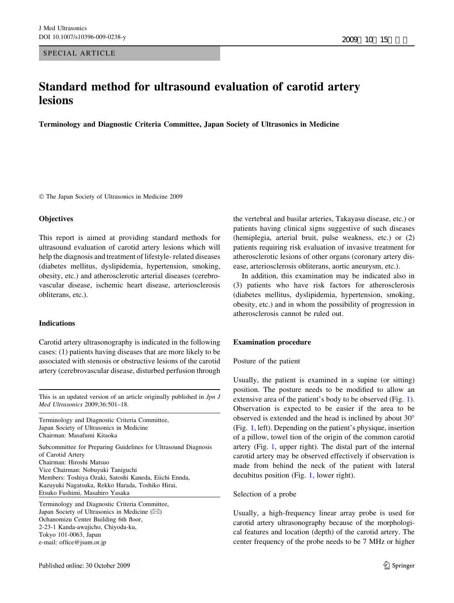SPECIAL ARTICLE

# Standard method for ultrasound evaluation of carotid artery lesions

Terminology and Diagnostic Criteria Committee, Japan Society of Ultrasonics in Medicine

The Japan Society of Ultrasonics in Medicine 2009

## **Objectives**

This report is aimed at providing standard methods for ultrasound evaluation of carotid artery lesions which will help the diagnosis and treatment of lifestyle- related diseases (diabetes mellitus, dyslipidemia, hypertension, smoking, obesity, etc.) and atherosclerotic arterial diseases (cerebrovascular disease, ischemic heart disease, arteriosclerosis obliterans, etc.).

## Indications

Carotid artery ultrasonography is indicated in the following cases: (1) patients having diseases that are more likely to be associated with stenosis or obstructive lesions of the carotid artery (cerebrovascular disease, disturbed perfusion through

This is an updated version of an article originally published in Jpn J Med Ultrasonics 2009;36:501–18.

Terminology and Diagnostic Criteria Committee, Japan Society of Ultrasonics in Medicine Chairman: Masafumi Kitaoka

Subcommittee for Preparing Guidelines for Ultrasound Diagnosis of Carotid Artery Chairman: Hiroshi Matsuo Vice Chairman: Nobuyuki Taniguchi Members: Toshiya Ozaki, Satoshi Kaneda, Eiichi Ennda, Kazuyuki Nagatsuka, Rekko Harada, Toshiko Hirai, Etsuko Fushimi, Masahiro Yasaka

Terminology and Diagnostic Criteria Committee, Japan Society of Ultrasonics in Medicine  $(\boxtimes)$ Ochanomizu Center Building 6th floor, 2-23-1 Kanda-awajicho, Chiyoda-ku, Tokyo 101-0063, Japan e-mail: office@jsum.or.jp

the vertebral and basilar arteries, Takayasu disease, etc.) or patients having clinical signs suggestive of such diseases (hemiplegia, arterial bruit, pulse weakness, etc.) or (2) patients requiring risk evaluation of invasive treatment for atherosclerotic lesions of other organs (coronary artery disease, arteriosclerosis obliterans, aortic aneurysm, etc.).

In addition, this examination may be indicated also in (3) patients who have risk factors for atherosclerosis (diabetes mellitus, dyslipidemia, hypertension, smoking, obesity, etc.) and in whom the possibility of progression in atherosclerosis cannot be ruled out.

## Examination procedure

#### Posture of the patient

Usually, the patient is examined in a supine (or sitting) position. The posture needs to be modified to allow an extensive area of the patient's body to be observed (Fig. [1](#page-1-0)). Observation is expected to be easier if the area to be observed is extended and the head is inclined by about  $30^{\circ}$ (Fig. [1,](#page-1-0) left). Depending on the patient's physique, insertion of a pillow, towel tion of the origin of the common carotid artery (Fig. [1,](#page-1-0) upper right). The distal part of the internal carotid artery may be observed effectively if observation is made from behind the neck of the patient with lateral decubitus position (Fig. [1](#page-1-0), lower right).

Selection of a probe

Usually, a high-frequency linear array probe is used for carotid artery ultrasonography because of the morphological features and location (depth) of the carotid artery. The center frequency of the probe needs to be 7 MHz or higher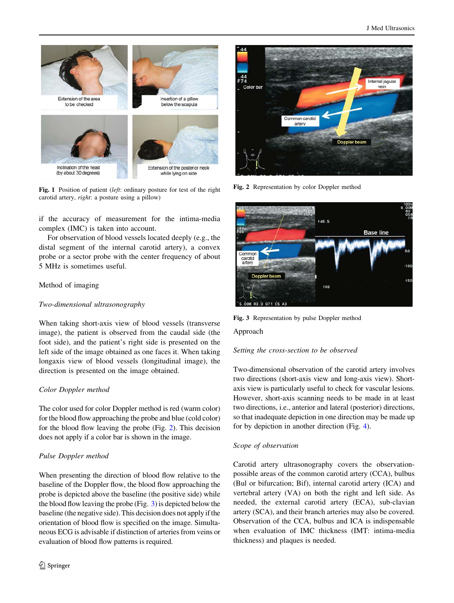<span id="page-1-0"></span>

Fig. 1 Position of patient (left: ordinary posture for test of the right carotid artery, right: a posture using a pillow)

if the accuracy of measurement for the intima-media complex (IMC) is taken into account.

For observation of blood vessels located deeply (e.g., the distal segment of the internal carotid artery), a convex probe or a sector probe with the center frequency of about 5 MHz is sometimes useful.

# Method of imaging

# Two-dimensional ultrasonography

When taking short-axis view of blood vessels (transverse image), the patient is observed from the caudal side (the foot side), and the patient's right side is presented on the left side of the image obtained as one faces it. When taking longaxis view of blood vessels (longitudinal image), the direction is presented on the image obtained.

# Color Doppler method

The color used for color Doppler method is red (warm color) for the blood flow approaching the probe and blue (cold color) for the blood flow leaving the probe (Fig. 2). This decision does not apply if a color bar is shown in the image.

# Pulse Doppler method

When presenting the direction of blood flow relative to the baseline of the Doppler flow, the blood flow approaching the probe is depicted above the baseline (the positive side) while the blood flow leaving the probe (Fig. 3) is depicted below the baseline (the negative side). This decision does not apply if the orientation of blood flow is specified on the image. Simultaneous ECG is advisable if distinction of arteries from veins or evaluation of blood flow patterns is required.



Fig. 2 Representation by color Doppler method



Fig. 3 Representation by pulse Doppler method

Approach

# Setting the cross-section to be observed

Two-dimensional observation of the carotid artery involves two directions (short-axis view and long-axis view). Shortaxis view is particularly useful to check for vascular lesions. However, short-axis scanning needs to be made in at least two directions, i.e., anterior and lateral (posterior) directions, so that inadequate depiction in one direction may be made up for by depiction in another direction (Fig. [4](#page-2-0)).

# Scope of observation

Carotid artery ultrasonography covers the observationpossible areas of the common carotid artery (CCA), bulbus (Bul or bifurcation; Bif), internal carotid artery (ICA) and vertebral artery (VA) on both the right and left side. As needed, the external carotid artery (ECA), sub-clavian artery (SCA), and their branch arteries may also be covered. Observation of the CCA, bulbus and ICA is indispensable when evaluation of IMC thickness (IMT: intima-media thickness) and plaques is needed.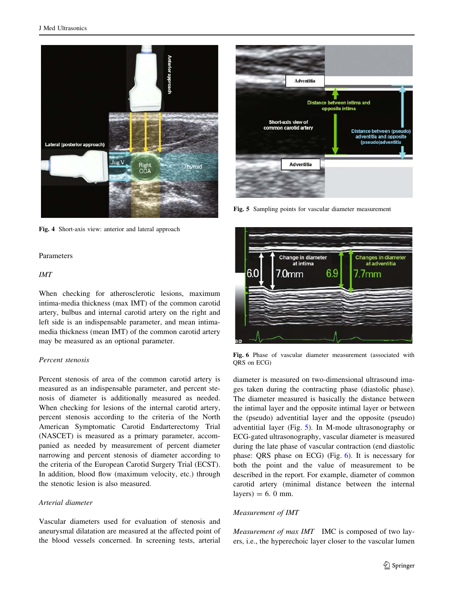<span id="page-2-0"></span>

Fig. 4 Short-axis view: anterior and lateral approach

Parameters

#### IMT

When checking for atherosclerotic lesions, maximum intima-media thickness (max IMT) of the common carotid artery, bulbus and internal carotid artery on the right and left side is an indispensable parameter, and mean intimamedia thickness (mean IMT) of the common carotid artery may be measured as an optional parameter.

## Percent stenosis

Percent stenosis of area of the common carotid artery is measured as an indispensable parameter, and percent stenosis of diameter is additionally measured as needed. When checking for lesions of the internal carotid artery, percent stenosis according to the criteria of the North American Symptomatic Carotid Endarterectomy Trial (NASCET) is measured as a primary parameter, accompanied as needed by measurement of percent diameter narrowing and percent stenosis of diameter according to the criteria of the European Carotid Surgery Trial (ECST). In addition, blood flow (maximum velocity, etc.) through the stenotic lesion is also measured.

## Arterial diameter

Vascular diameters used for evaluation of stenosis and aneurysmal dilatation are measured at the affected point of the blood vessels concerned. In screening tests, arterial



Fig. 5 Sampling points for vascular diameter measurement



Fig. 6 Phase of vascular diameter measurement (associated with QRS on ECG)

diameter is measured on two-dimensional ultrasound images taken during the contracting phase (diastolic phase). The diameter measured is basically the distance between the intimal layer and the opposite intimal layer or between the (pseudo) adventitial layer and the opposite (pseudo) adventitial layer (Fig. 5). In M-mode ultrasonography or ECG-gated ultrasonography, vascular diameter is measured during the late phase of vascular contraction (end diastolic phase: QRS phase on ECG) (Fig. 6). It is necessary for both the point and the value of measurement to be described in the report. For example, diameter of common carotid artery (minimal distance between the internal  $layers) = 6.0$  mm.

#### Measurement of IMT

Measurement of max IMT IMC is composed of two layers, i.e., the hyperechoic layer closer to the vascular lumen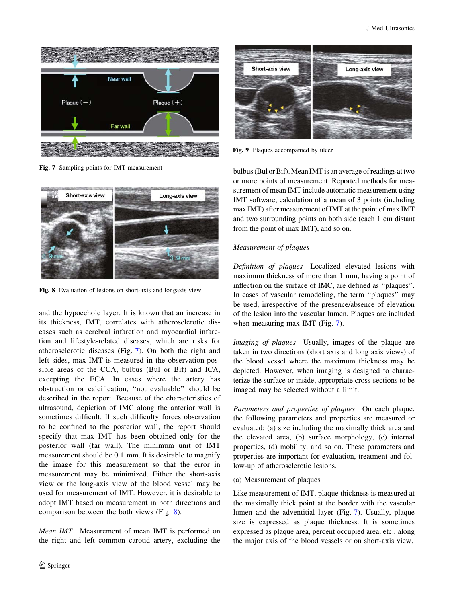<span id="page-3-0"></span>

Fig. 7 Sampling points for IMT measurement



Fig. 8 Evaluation of lesions on short-axis and longaxis view

and the hypoechoic layer. It is known that an increase in its thickness, IMT, correlates with atherosclerotic diseases such as cerebral infarction and myocardial infarction and lifestyle-related diseases, which are risks for atherosclerotic diseases (Fig. 7). On both the right and left sides, max IMT is measured in the observation-possible areas of the CCA, bulbus (Bul or Bif) and ICA, excepting the ECA. In cases where the artery has obstruction or calcification, ''not evaluable'' should be described in the report. Because of the characteristics of ultrasound, depiction of IMC along the anterior wall is sometimes difficult. If such difficulty forces observation to be confined to the posterior wall, the report should specify that max IMT has been obtained only for the posterior wall (far wall). The minimum unit of IMT measurement should be 0.1 mm. It is desirable to magnify the image for this measurement so that the error in measurement may be minimized. Either the short-axis view or the long-axis view of the blood vessel may be used for measurement of IMT. However, it is desirable to adopt IMT based on measurement in both directions and comparison between the both views (Fig. 8).

Mean IMT Measurement of mean IMT is performed on the right and left common carotid artery, excluding the



Fig. 9 Plaques accompanied by ulcer

bulbus (Bul or Bif). Mean IMT is an average of readings at two or more points of measurement. Reported methods for measurement of mean IMT include automatic measurement using IMT software, calculation of a mean of 3 points (including max IMT) after measurement of IMT at the point of max IMT and two surrounding points on both side (each 1 cm distant from the point of max IMT), and so on.

## Measurement of plaques

Definition of plaques Localized elevated lesions with maximum thickness of more than 1 mm, having a point of inflection on the surface of IMC, are defined as ''plaques''. In cases of vascular remodeling, the term ''plaques'' may be used, irrespective of the presence/absence of elevation of the lesion into the vascular lumen. Plaques are included when measuring max IMT (Fig. 7).

Imaging of plaques Usually, images of the plaque are taken in two directions (short axis and long axis views) of the blood vessel where the maximum thickness may be depicted. However, when imaging is designed to characterize the surface or inside, appropriate cross-sections to be imaged may be selected without a limit.

Parameters and properties of plaques On each plaque, the following parameters and properties are measured or evaluated: (a) size including the maximally thick area and the elevated area, (b) surface morphology, (c) internal properties, (d) mobility, and so on. These parameters and properties are important for evaluation, treatment and follow-up of atherosclerotic lesions.

(a) Measurement of plaques

Like measurement of IMT, plaque thickness is measured at the maximally thick point at the border with the vascular lumen and the adventitial layer (Fig. 7). Usually, plaque size is expressed as plaque thickness. It is sometimes expressed as plaque area, percent occupied area, etc., along the major axis of the blood vessels or on short-axis view.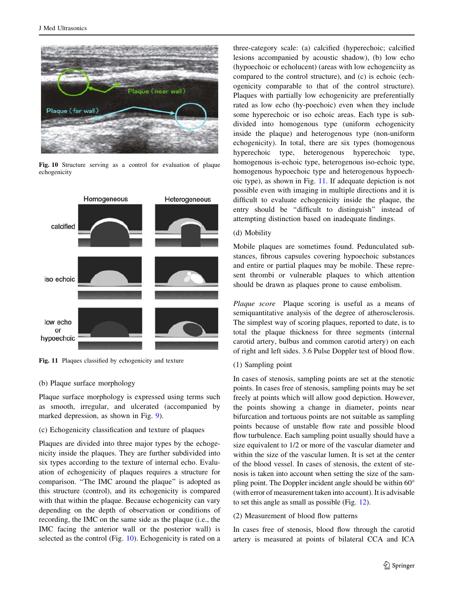

Fig. 10 Structure serving as a control for evaluation of plaque echogenicity



Fig. 11 Plaques classified by echogenicity and texture

#### (b) Plaque surface morphology

Plaque surface morphology is expressed using terms such as smooth, irregular, and ulcerated (accompanied by marked depression, as shown in Fig. [9](#page-3-0)).

## (c) Echogenicity classification and texture of plaques

Plaques are divided into three major types by the echogenicity inside the plaques. They are further subdivided into six types according to the texture of internal echo. Evaluation of echogenicity of plaques requires a structure for comparison. ''The IMC around the plaque'' is adopted as this structure (control), and its echogenicity is compared with that within the plaque. Because echogenicity can vary depending on the depth of observation or conditions of recording, the IMC on the same side as the plaque (i.e., the IMC facing the anterior wall or the posterior wall) is selected as the control (Fig. 10). Echogenicity is rated on a

three-category scale: (a) calcified (hyperechoic; calcified lesions accompanied by acoustic shadow), (b) low echo (hypoechoic or echolucent) (areas with low echogenciity as compared to the control structure), and (c) is echoic (echogenicity comparable to that of the control structure). Plaques with partially low echogenicity are preferentially rated as low echo (hy-poechoic) even when they include some hyperechoic or iso echoic areas. Each type is subdivided into homogenous type (uniform echogenicity inside the plaque) and heterogenous type (non-uniform echogenicity). In total, there are six types (homogenous hyperechoic type, heterogenous hyperechoic type, homogenous is-echoic type, heterogenous iso-echoic type, homogenous hypoechoic type and heterogenous hypoechoic type), as shown in Fig. 11. If adequate depiction is not possible even with imaging in multiple directions and it is difficult to evaluate echogenicity inside the plaque, the entry should be ''difficult to distinguish'' instead of attempting distinction based on inadequate findings.

## (d) Mobility

Mobile plaques are sometimes found. Pedunculated substances, fibrous capsules covering hypoechoic substances and entire or partial plaques may be mobile. These represent thrombi or vulnerable plaques to which attention should be drawn as plaques prone to cause embolism.

Plaque score Plaque scoring is useful as a means of semiquantitative analysis of the degree of atherosclerosis. The simplest way of scoring plaques, reported to date, is to total the plaque thickness for three segments (internal carotid artery, bulbus and common carotid artery) on each of right and left sides. 3.6 Pulse Doppler test of blood flow.

## (1) Sampling point

In cases of stenosis, sampling points are set at the stenotic points. In cases free of stenosis, sampling points may be set freely at points which will allow good depiction. However, the points showing a change in diameter, points near bifurcation and tortuous points are not suitable as sampling points because of unstable flow rate and possible blood flow turbulence. Each sampling point usually should have a size equivalent to 1/2 or more of the vascular diameter and within the size of the vascular lumen. It is set at the center of the blood vessel. In cases of stenosis, the extent of stenosis is taken into account when setting the size of the sampling point. The Doppler incident angle should be within 60° (with error of measurement taken into account). It is advisable to set this angle as small as possible (Fig. [12\)](#page-5-0).

#### (2) Measurement of blood flow patterns

In cases free of stenosis, blood flow through the carotid artery is measured at points of bilateral CCA and ICA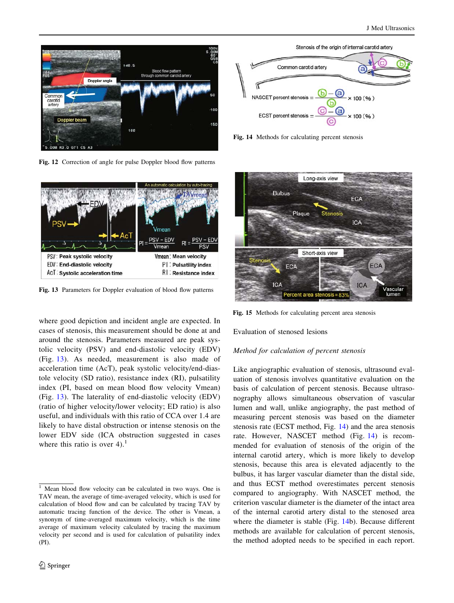<span id="page-5-0"></span>

Fig. 12 Correction of angle for pulse Doppler blood flow patterns



Fig. 13 Parameters for Doppler evaluation of blood flow patterns

where good depiction and incident angle are expected. In cases of stenosis, this measurement should be done at and around the stenosis. Parameters measured are peak systolic velocity (PSV) and end-diastolic velocity (EDV) (Fig. 13). As needed, measurement is also made of acceleration time (AcT), peak systolic velocity/end-diastole velocity (SD ratio), resistance index (RI), pulsatility index (PI, based on mean blood flow velocity Vmean) (Fig. 13). The laterality of end-diastolic velocity (EDV) (ratio of higher velocity/lower velocity; ED ratio) is also useful, and individuals with this ratio of CCA over 1.4 are likely to have distal obstruction or intense stenosis on the lower EDV side (ICA obstruction suggested in cases where this ratio is over  $4$ ).<sup>1</sup>



Fig. 14 Methods for calculating percent stenosis



Fig. 15 Methods for calculating percent area stenosis

# Evaluation of stenosed lesions

#### Method for calculation of percent stenosis

Like angiographic evaluation of stenosis, ultrasound evaluation of stenosis involves quantitative evaluation on the basis of calculation of percent stenosis. Because ultrasonography allows simultaneous observation of vascular lumen and wall, unlike angiography, the past method of measuring percent stenosis was based on the diameter stenosis rate (ECST method, Fig. 14) and the area stenosis rate. However, NASCET method (Fig. 14) is recommended for evaluation of stenosis of the origin of the internal carotid artery, which is more likely to develop stenosis, because this area is elevated adjacently to the bulbus, it has larger vascular diameter than the distal side, and thus ECST method overestimates percent stenosis compared to angiography. With NASCET method, the criterion vascular diameter is the diameter of the intact area of the internal carotid artery distal to the stenosed area where the diameter is stable (Fig. 14b). Because different methods are available for calculation of percent stenosis, the method adopted needs to be specified in each report.

<sup>&</sup>lt;sup>1</sup> Mean blood flow velocity can be calculated in two ways. One is TAV mean, the average of time-averaged velocity, which is used for calculation of blood flow and can be calculated by tracing TAV by automatic tracing function of the device. The other is Vmean, a synonym of time-averaged maximum velocity, which is the time average of maximum velocity calculated by tracing the maximum velocity per second and is used for calculation of pulsatility index (PI).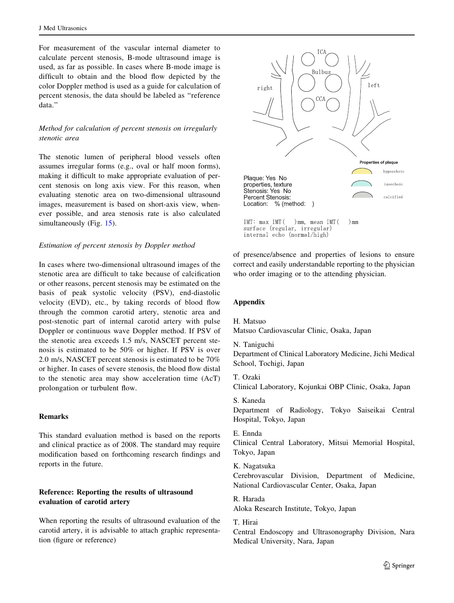For measurement of the vascular internal diameter to calculate percent stenosis, B-mode ultrasound image is used, as far as possible. In cases where B-mode image is difficult to obtain and the blood flow depicted by the color Doppler method is used as a guide for calculation of percent stenosis, the data should be labeled as ''reference data.''

# Method for calculation of percent stenosis on irregularly stenotic area

The stenotic lumen of peripheral blood vessels often assumes irregular forms (e.g., oval or half moon forms), making it difficult to make appropriate evaluation of percent stenosis on long axis view. For this reason, when evaluating stenotic area on two-dimensional ultrasound images, measurement is based on short-axis view, whenever possible, and area stenosis rate is also calculated simultaneously (Fig. [15](#page-5-0)).

## Estimation of percent stenosis by Doppler method

In cases where two-dimensional ultrasound images of the stenotic area are difficult to take because of calcification or other reasons, percent stenosis may be estimated on the basis of peak systolic velocity (PSV), end-diastolic velocity (EVD), etc., by taking records of blood flow through the common carotid artery, stenotic area and post-stenotic part of internal carotid artery with pulse Doppler or continuous wave Doppler method. If PSV of the stenotic area exceeds 1.5 m/s, NASCET percent stenosis is estimated to be 50% or higher. If PSV is over 2.0 m/s, NASCET percent stenosis is estimated to be 70% or higher. In cases of severe stenosis, the blood flow distal to the stenotic area may show acceleration time (AcT) prolongation or turbulent flow.

# Remarks

This standard evaluation method is based on the reports and clinical practice as of 2008. The standard may require modification based on forthcoming research findings and reports in the future.

# Reference: Reporting the results of ultrasound evaluation of carotid artery

When reporting the results of ultrasound evaluation of the carotid artery, it is advisable to attach graphic representation (figure or reference)



surface (regular, irregular) internal echo (normal/high)

of presence/absence and properties of lesions to ensure correct and easily understandable reporting to the physician who order imaging or to the attending physician.

# Appendix

#### H. Matsuo

Matsuo Cardiovascular Clinic, Osaka, Japan

N. Taniguchi

Department of Clinical Laboratory Medicine, Jichi Medical School, Tochigi, Japan

## T. Ozaki

Clinical Laboratory, Kojunkai OBP Clinic, Osaka, Japan

S. Kaneda

Department of Radiology, Tokyo Saiseikai Central Hospital, Tokyo, Japan

E. Ennda Clinical Central Laboratory, Mitsui Memorial Hospital, Tokyo, Japan

## K. Nagatsuka

Cerebrovascular Division, Department of Medicine, National Cardiovascular Center, Osaka, Japan

R. Harada Aloka Research Institute, Tokyo, Japan

T. Hirai Central Endoscopy and Ultrasonography Division, Nara Medical University, Nara, Japan